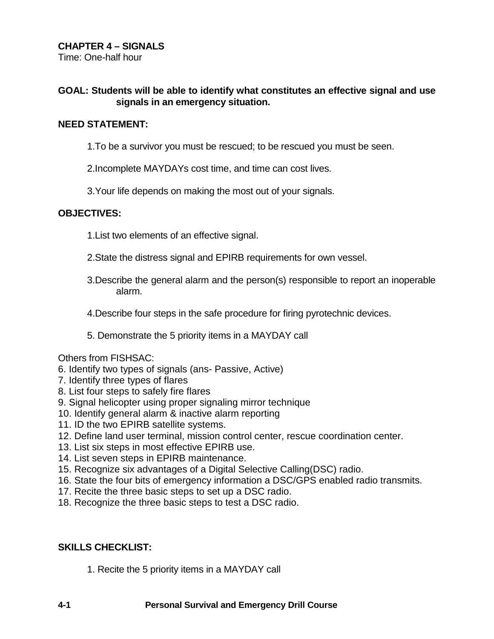Time: One-half hour

## **GOAL: Students will be able to identify what constitutes an effective signal and use signals in an emergency situation.**

#### **NEED STATEMENT:**

1.To be a survivor you must be rescued; to be rescued you must be seen.

2.Incomplete MAYDAYs cost time, and time can cost lives.

3.Your life depends on making the most out of your signals.

#### **OBJECTIVES:**

- 1.List two elements of an effective signal.
- 2.State the distress signal and EPIRB requirements for own vessel.
- 3.Describe the general alarm and the person(s) responsible to report an inoperable alarm.
- 4.Describe four steps in the safe procedure for firing pyrotechnic devices.
- 5. Demonstrate the 5 priority items in a MAYDAY call

#### Others from FISHSAC:

- 6. Identify two types of signals (ans- Passive, Active)
- 7. Identify three types of flares
- 8. List four steps to safely fire flares
- 9. Signal helicopter using proper signaling mirror technique
- 10. Identify general alarm & inactive alarm reporting
- 11. ID the two EPIRB satellite systems.
- 12. Define land user terminal, mission control center, rescue coordination center.
- 13. List six steps in most effective EPIRB use.
- 14. List seven steps in EPIRB maintenance.
- 15. Recognize six advantages of a Digital Selective Calling(DSC) radio.
- 16. State the four bits of emergency information a DSC/GPS enabled radio transmits.
- 17. Recite the three basic steps to set up a DSC radio.
- 18. Recognize the three basic steps to test a DSC radio.

## **SKILLS CHECKLIST:**

1. Recite the 5 priority items in a MAYDAY call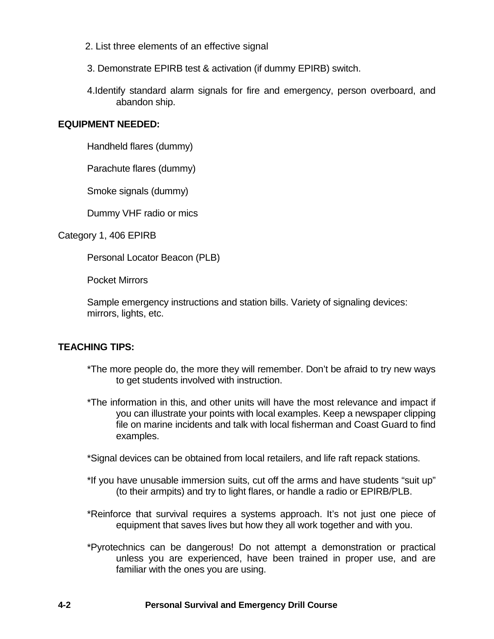- 2. List three elements of an effective signal
- 3. Demonstrate EPIRB test & activation (if dummy EPIRB) switch.
- 4.Identify standard alarm signals for fire and emergency, person overboard, and abandon ship.

#### **EQUIPMENT NEEDED:**

Handheld flares (dummy)

Parachute flares (dummy)

Smoke signals (dummy)

Dummy VHF radio or mics

Category 1, 406 EPIRB

Personal Locator Beacon (PLB)

Pocket Mirrors

Sample emergency instructions and station bills. Variety of signaling devices: mirrors, lights, etc.

## **TEACHING TIPS:**

- \*The more people do, the more they will remember. Don't be afraid to try new ways to get students involved with instruction.
- \*The information in this, and other units will have the most relevance and impact if you can illustrate your points with local examples. Keep a newspaper clipping file on marine incidents and talk with local fisherman and Coast Guard to find examples.
- \*Signal devices can be obtained from local retailers, and life raft repack stations.
- \*If you have unusable immersion suits, cut off the arms and have students "suit up" (to their armpits) and try to light flares, or handle a radio or EPIRB/PLB.
- \*Reinforce that survival requires a systems approach. It's not just one piece of equipment that saves lives but how they all work together and with you.
- \*Pyrotechnics can be dangerous! Do not attempt a demonstration or practical unless you are experienced, have been trained in proper use, and are familiar with the ones you are using.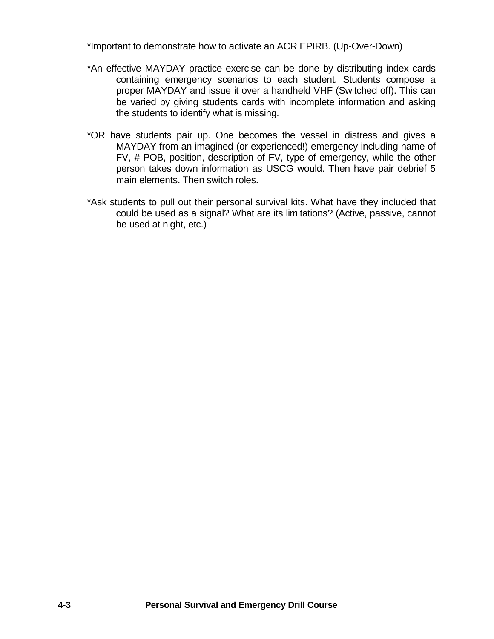\*Important to demonstrate how to activate an ACR EPIRB. (Up-Over-Down)

- \*An effective MAYDAY practice exercise can be done by distributing index cards containing emergency scenarios to each student. Students compose a proper MAYDAY and issue it over a handheld VHF (Switched off). This can be varied by giving students cards with incomplete information and asking the students to identify what is missing.
- \*OR have students pair up. One becomes the vessel in distress and gives a MAYDAY from an imagined (or experienced!) emergency including name of FV, # POB, position, description of FV, type of emergency, while the other person takes down information as USCG would. Then have pair debrief 5 main elements. Then switch roles.
- \*Ask students to pull out their personal survival kits. What have they included that could be used as a signal? What are its limitations? (Active, passive, cannot be used at night, etc.)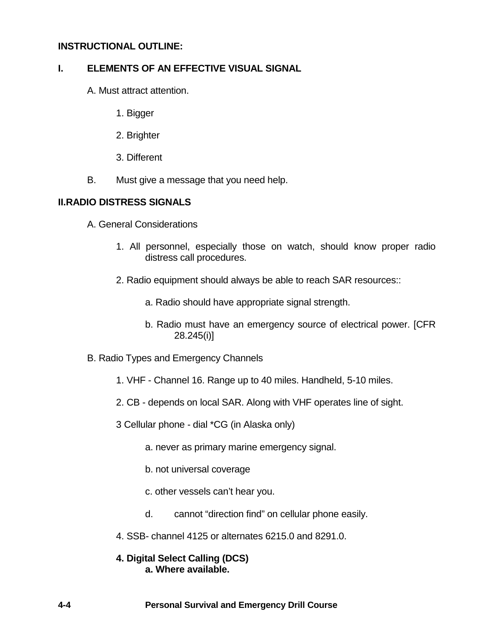### **INSTRUCTIONAL OUTLINE:**

#### **I. ELEMENTS OF AN EFFECTIVE VISUAL SIGNAL**

- A. Must attract attention.
	- 1. Bigger
	- 2. Brighter
	- 3. Different
- B. Must give a message that you need help.

#### **II.RADIO DISTRESS SIGNALS**

- A. General Considerations
	- 1. All personnel, especially those on watch, should know proper radio distress call procedures.
	- 2. Radio equipment should always be able to reach SAR resources::
		- a. Radio should have appropriate signal strength.
		- b. Radio must have an emergency source of electrical power. [CFR 28.245(i)]
- B. Radio Types and Emergency Channels
	- 1. VHF Channel 16. Range up to 40 miles. Handheld, 5-10 miles.
	- 2. CB depends on local SAR. Along with VHF operates line of sight.
	- 3 Cellular phone dial \*CG (in Alaska only)
		- a. never as primary marine emergency signal.
		- b. not universal coverage
		- c. other vessels can't hear you.
		- d. cannot "direction find" on cellular phone easily.
	- 4. SSB- channel 4125 or alternates 6215.0 and 8291.0.

## **4. Digital Select Calling (DCS) a. Where available.**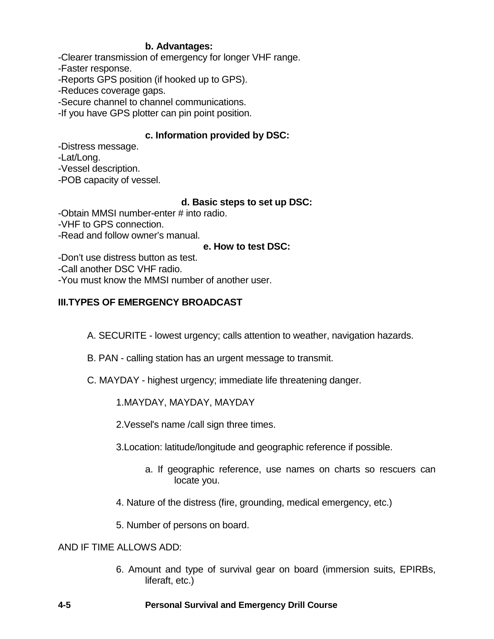## **b. Advantages:**

-Clearer transmission of emergency for longer VHF range.

-Faster response.

-Reports GPS position (if hooked up to GPS).

-Reduces coverage gaps.

-Secure channel to channel communications.

-If you have GPS plotter can pin point position.

# **c. Information provided by DSC:**

-Distress message.

-Lat/Long.

-Vessel description.

-POB capacity of vessel.

# **d. Basic steps to set up DSC:**

-Obtain MMSI number-enter # into radio.

-VHF to GPS connection.

-Read and follow owner's manual.

## **e. How to test DSC:**

-Don't use distress button as test.

-Call another DSC VHF radio.

-You must know the MMSI number of another user.

# **III.TYPES OF EMERGENCY BROADCAST**

A. SECURITE - lowest urgency; calls attention to weather, navigation hazards.

- B. PAN calling station has an urgent message to transmit.
- C. MAYDAY highest urgency; immediate life threatening danger.

# 1.MAYDAY, MAYDAY, MAYDAY

2.Vessel's name /call sign three times.

3.Location: latitude/longitude and geographic reference if possible.

- a. If geographic reference, use names on charts so rescuers can locate you.
- 4. Nature of the distress (fire, grounding, medical emergency, etc.)

5. Number of persons on board.

## AND IF TIME ALLOWS ADD:

6. Amount and type of survival gear on board (immersion suits, EPIRBs, liferaft, etc.)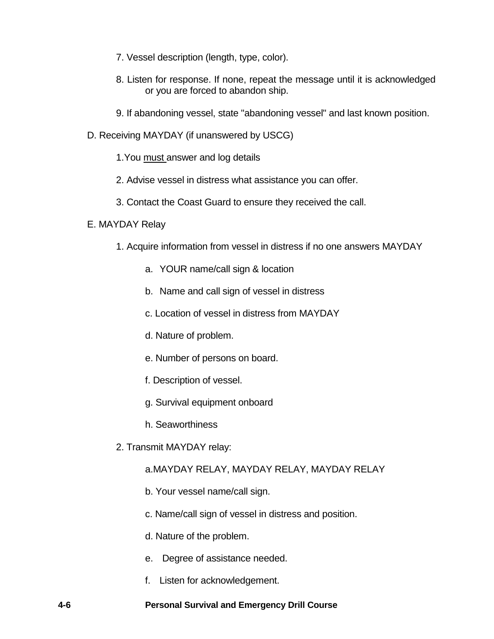- 7. Vessel description (length, type, color).
- 8. Listen for response. If none, repeat the message until it is acknowledged or you are forced to abandon ship.
- 9. If abandoning vessel, state "abandoning vessel" and last known position.
- D. Receiving MAYDAY (if unanswered by USCG)
	- 1. You must answer and log details
	- 2. Advise vessel in distress what assistance you can offer.
	- 3. Contact the Coast Guard to ensure they received the call.

#### E. MAYDAY Relay

- 1. Acquire information from vessel in distress if no one answers MAYDAY
	- a. YOUR name/call sign & location
	- b. Name and call sign of vessel in distress
	- c. Location of vessel in distress from MAYDAY
	- d. Nature of problem.
	- e. Number of persons on board.
	- f. Description of vessel.
	- g. Survival equipment onboard
	- h. Seaworthiness
- 2. Transmit MAYDAY relay:

## a.MAYDAY RELAY, MAYDAY RELAY, MAYDAY RELAY

- b. Your vessel name/call sign.
- c. Name/call sign of vessel in distress and position.
- d. Nature of the problem.
- e. Degree of assistance needed.
- f. Listen for acknowledgement.

#### **4-6 Personal Survival and Emergency Drill Course**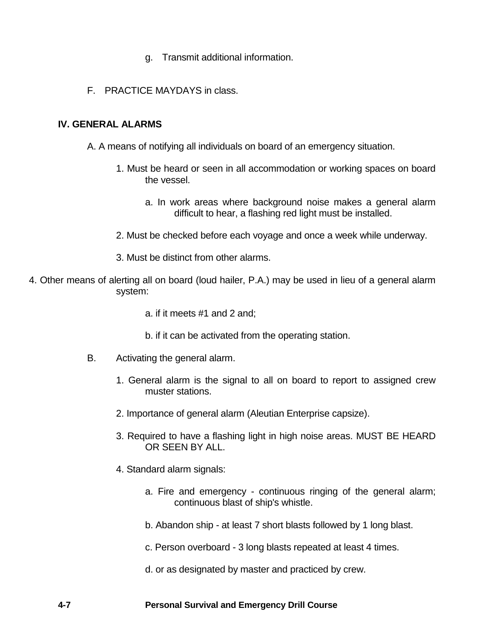- g. Transmit additional information.
- F. PRACTICE MAYDAYS in class.

# **IV. GENERAL ALARMS**

- A. A means of notifying all individuals on board of an emergency situation.
	- 1. Must be heard or seen in all accommodation or working spaces on board the vessel.
		- a. In work areas where background noise makes a general alarm difficult to hear, a flashing red light must be installed.
	- 2. Must be checked before each voyage and once a week while underway.
	- 3. Must be distinct from other alarms.
- 4. Other means of alerting all on board (loud hailer, P.A.) may be used in lieu of a general alarm system:
	- a. if it meets #1 and 2 and;
	- b. if it can be activated from the operating station.
	- B. Activating the general alarm.
		- 1. General alarm is the signal to all on board to report to assigned crew muster stations.
		- 2. Importance of general alarm (Aleutian Enterprise capsize).
		- 3. Required to have a flashing light in high noise areas. MUST BE HEARD OR SEEN BY ALL.
		- 4. Standard alarm signals:
			- a. Fire and emergency continuous ringing of the general alarm; continuous blast of ship's whistle.
			- b. Abandon ship at least 7 short blasts followed by 1 long blast.
			- c. Person overboard 3 long blasts repeated at least 4 times.
			- d. or as designated by master and practiced by crew.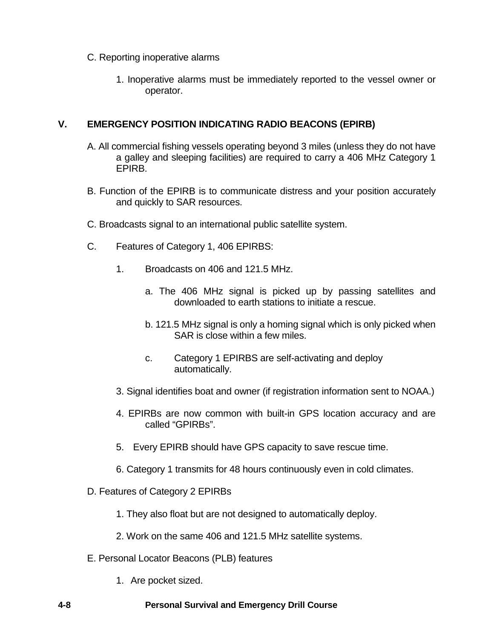- C. Reporting inoperative alarms
	- 1. Inoperative alarms must be immediately reported to the vessel owner or operator.

# **V. EMERGENCY POSITION INDICATING RADIO BEACONS (EPIRB)**

- A. All commercial fishing vessels operating beyond 3 miles (unless they do not have a galley and sleeping facilities) are required to carry a 406 MHz Category 1 EPIRB.
- B. Function of the EPIRB is to communicate distress and your position accurately and quickly to SAR resources.
- C. Broadcasts signal to an international public satellite system.
- C. Features of Category 1, 406 EPIRBS:
	- 1. Broadcasts on 406 and 121.5 MHz.
		- a. The 406 MHz signal is picked up by passing satellites and downloaded to earth stations to initiate a rescue.
		- b. 121.5 MHz signal is only a homing signal which is only picked when SAR is close within a few miles.
		- c. Category 1 EPIRBS are self-activating and deploy automatically.
	- 3. Signal identifies boat and owner (if registration information sent to NOAA.)
	- 4. EPIRBs are now common with built-in GPS location accuracy and are called "GPIRBs".
	- 5. Every EPIRB should have GPS capacity to save rescue time.
	- 6. Category 1 transmits for 48 hours continuously even in cold climates.
- D. Features of Category 2 EPIRBs
	- 1. They also float but are not designed to automatically deploy.
	- 2. Work on the same 406 and 121.5 MHz satellite systems.
- E. Personal Locator Beacons (PLB) features
	- 1. Are pocket sized.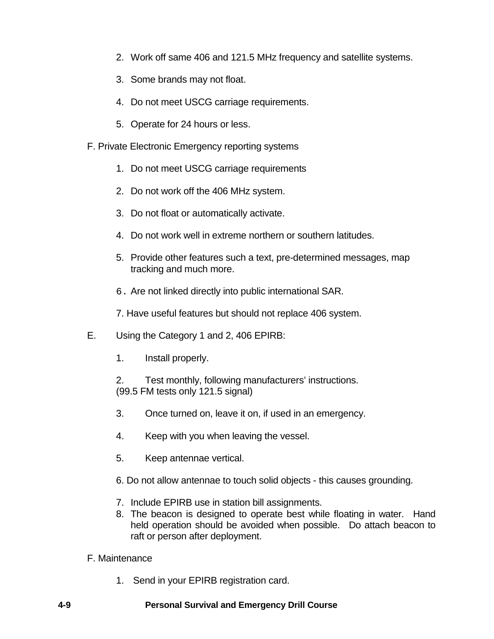- 2. Work off same 406 and 121.5 MHz frequency and satellite systems.
- 3. Some brands may not float.
- 4. Do not meet USCG carriage requirements.
- 5. Operate for 24 hours or less.
- F. Private Electronic Emergency reporting systems
	- 1. Do not meet USCG carriage requirements
	- 2. Do not work off the 406 MHz system.
	- 3. Do not float or automatically activate.
	- 4. Do not work well in extreme northern or southern latitudes.
	- 5. Provide other features such a text, pre-determined messages, map tracking and much more.
	- 6. Are not linked directly into public international SAR.
	- 7. Have useful features but should not replace 406 system.
- E. Using the Category 1 and 2, 406 EPIRB:
	- 1. Install properly.
	- 2. Test monthly, following manufacturers' instructions. (99.5 FM tests only 121.5 signal)
	- 3. Once turned on, leave it on, if used in an emergency.
	- 4. Keep with you when leaving the vessel.
	- 5. Keep antennae vertical.
	- 6. Do not allow antennae to touch solid objects this causes grounding.
	- 7. Include EPIRB use in station bill assignments.
	- 8. The beacon is designed to operate best while floating in water. Hand held operation should be avoided when possible. Do attach beacon to raft or person after deployment.

## F. Maintenance

1. Send in your EPIRB registration card.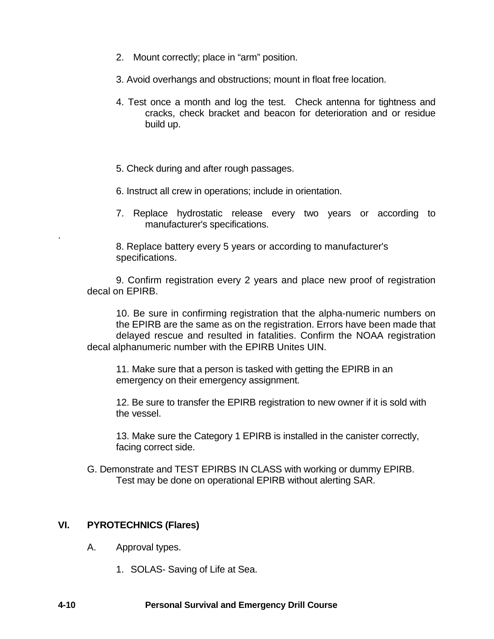- 2. Mount correctly; place in "arm" position.
- 3. Avoid overhangs and obstructions; mount in float free location.
- 4. Test once a month and log the test. Check antenna for tightness and cracks, check bracket and beacon for deterioration and or residue build up.
- 5. Check during and after rough passages.
- 6. Instruct all crew in operations; include in orientation.
- 7. Replace hydrostatic release every two years or according to manufacturer's specifications.

8. Replace battery every 5 years or according to manufacturer's specifications.

9. Confirm registration every 2 years and place new proof of registration decal on EPIRB.

10. Be sure in confirming registration that the alpha-numeric numbers on the EPIRB are the same as on the registration. Errors have been made that delayed rescue and resulted in fatalities. Confirm the NOAA registration decal alphanumeric number with the EPIRB Unites UIN.

11. Make sure that a person is tasked with getting the EPIRB in an emergency on their emergency assignment.

12. Be sure to transfer the EPIRB registration to new owner if it is sold with the vessel.

13. Make sure the Category 1 EPIRB is installed in the canister correctly, facing correct side.

G. Demonstrate and TEST EPIRBS IN CLASS with working or dummy EPIRB. Test may be done on operational EPIRB without alerting SAR.

## **VI. PYROTECHNICS (Flares)**

.

- A. Approval types.
	- 1. SOLAS- Saving of Life at Sea.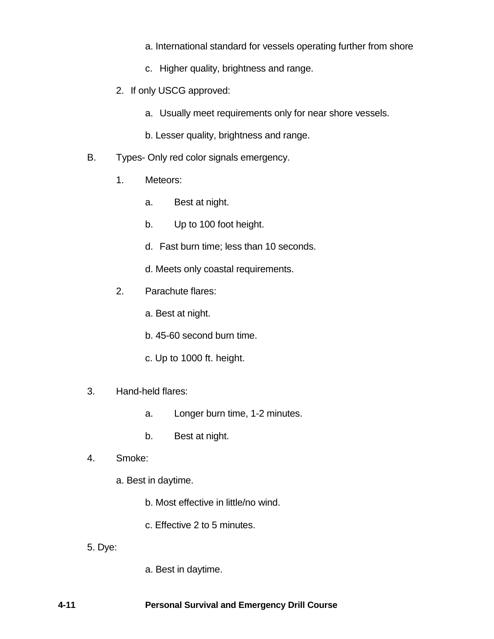- a. International standard for vessels operating further from shore
- c. Higher quality, brightness and range.
- 2. If only USCG approved:
	- a. Usually meet requirements only for near shore vessels.
	- b. Lesser quality, brightness and range.
- B. Types- Only red color signals emergency.
	- 1. Meteors:
		- a. Best at night.
		- b. Up to 100 foot height.
		- d. Fast burn time; less than 10 seconds.
		- d. Meets only coastal requirements.
	- 2. Parachute flares:
		- a. Best at night.
		- b. 45-60 second burn time.
		- c. Up to 1000 ft. height.

#### 3. Hand-held flares:

- a. Longer burn time, 1-2 minutes.
- b. Best at night.
- 4. Smoke:
	- a. Best in daytime.
		- b. Most effective in little/no wind.
		- c. Effective 2 to 5 minutes.
- 5. Dye:
- a. Best in daytime.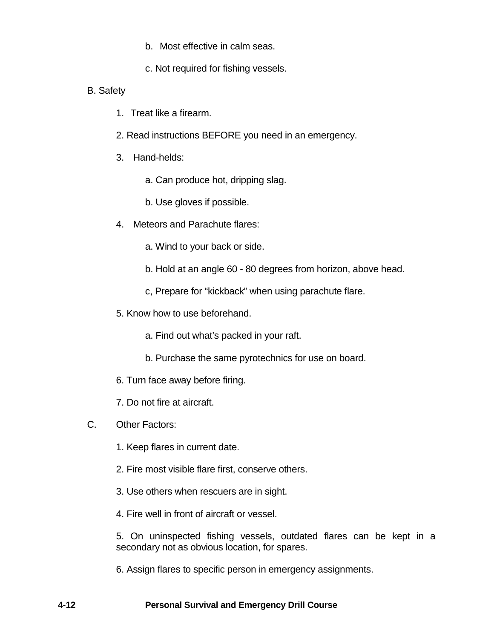- b. Most effective in calm seas.
- c. Not required for fishing vessels.
- B. Safety
	- 1. Treat like a firearm.
	- 2. Read instructions BEFORE you need in an emergency.
	- 3. Hand-helds:
		- a. Can produce hot, dripping slag.
		- b. Use gloves if possible.
	- 4. Meteors and Parachute flares:
		- a. Wind to your back or side.
		- b. Hold at an angle 60 80 degrees from horizon, above head.
		- c, Prepare for "kickback" when using parachute flare.
	- 5. Know how to use beforehand.
		- a. Find out what's packed in your raft.
		- b. Purchase the same pyrotechnics for use on board.
	- 6. Turn face away before firing.
	- 7. Do not fire at aircraft.
- C. Other Factors:
	- 1. Keep flares in current date.
	- 2. Fire most visible flare first, conserve others.
	- 3. Use others when rescuers are in sight.
	- 4. Fire well in front of aircraft or vessel.

5. On uninspected fishing vessels, outdated flares can be kept in a secondary not as obvious location, for spares.

6. Assign flares to specific person in emergency assignments.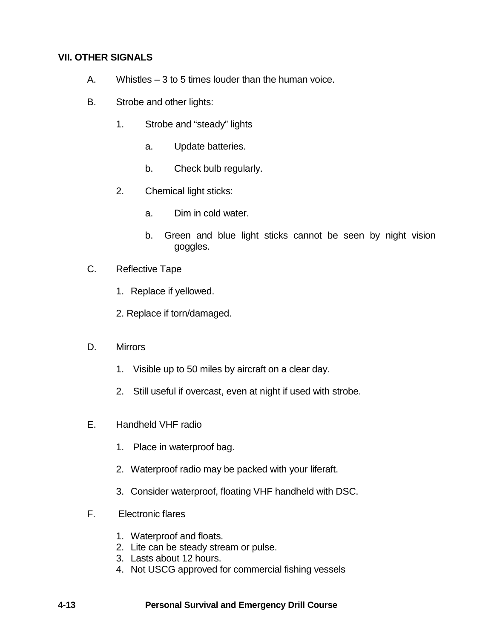# **VII. OTHER SIGNALS**

- A. Whistles 3 to 5 times louder than the human voice.
- B. Strobe and other lights:
	- 1. Strobe and "steady" lights
		- a. Update batteries.
		- b. Check bulb regularly.
	- 2. Chemical light sticks:
		- a. Dim in cold water.
		- b. Green and blue light sticks cannot be seen by night vision goggles.
- C. Reflective Tape
	- 1. Replace if yellowed.
	- 2. Replace if torn/damaged.
- D. Mirrors
	- 1. Visible up to 50 miles by aircraft on a clear day.
	- 2. Still useful if overcast, even at night if used with strobe.
- E. Handheld VHF radio
	- 1. Place in waterproof bag.
	- 2. Waterproof radio may be packed with your liferaft.
	- 3. Consider waterproof, floating VHF handheld with DSC.
- F. Electronic flares
	- 1. Waterproof and floats.
	- 2. Lite can be steady stream or pulse.
	- 3. Lasts about 12 hours.
	- 4. Not USCG approved for commercial fishing vessels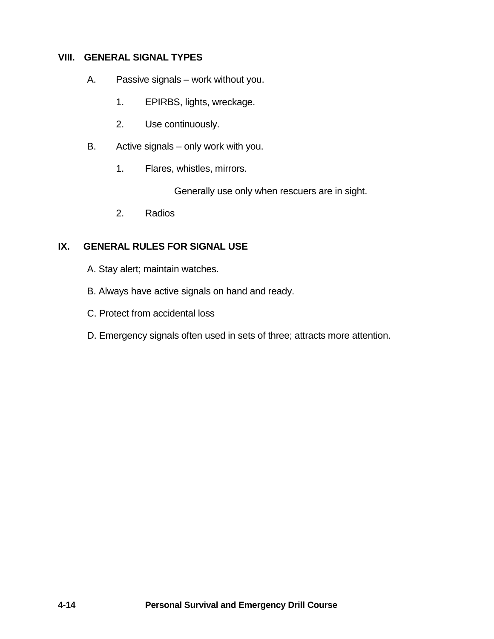## **VIII. GENERAL SIGNAL TYPES**

- A. Passive signals work without you.
	- 1. EPIRBS, lights, wreckage.
	- 2. Use continuously.
- B. Active signals only work with you.
	- 1. Flares, whistles, mirrors.

Generally use only when rescuers are in sight.

2. Radios

# **IX. GENERAL RULES FOR SIGNAL USE**

- A. Stay alert; maintain watches.
- B. Always have active signals on hand and ready.
- C. Protect from accidental loss
- D. Emergency signals often used in sets of three; attracts more attention.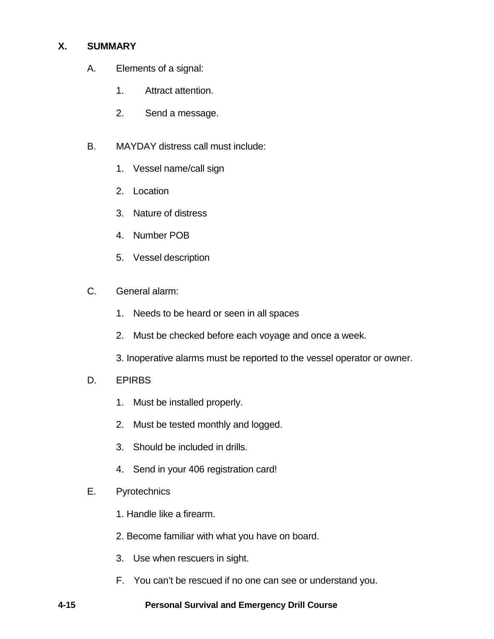# **X. SUMMARY**

- A. Elements of a signal:
	- 1. Attract attention.
	- 2. Send a message.
- B. MAYDAY distress call must include:
	- 1. Vessel name/call sign
	- 2. Location
	- 3. Nature of distress
	- 4. Number POB
	- 5. Vessel description
- C. General alarm:
	- 1. Needs to be heard or seen in all spaces
	- 2. Must be checked before each voyage and once a week.
	- 3. Inoperative alarms must be reported to the vessel operator or owner.
- D. EPIRBS
	- 1. Must be installed properly.
	- 2. Must be tested monthly and logged.
	- 3. Should be included in drills.
	- 4. Send in your 406 registration card!
- E. Pyrotechnics
	- 1. Handle like a firearm.
	- 2. Become familiar with what you have on board.
	- 3. Use when rescuers in sight.
	- F. You can't be rescued if no one can see or understand you.

## **4-15 Personal Survival and Emergency Drill Course**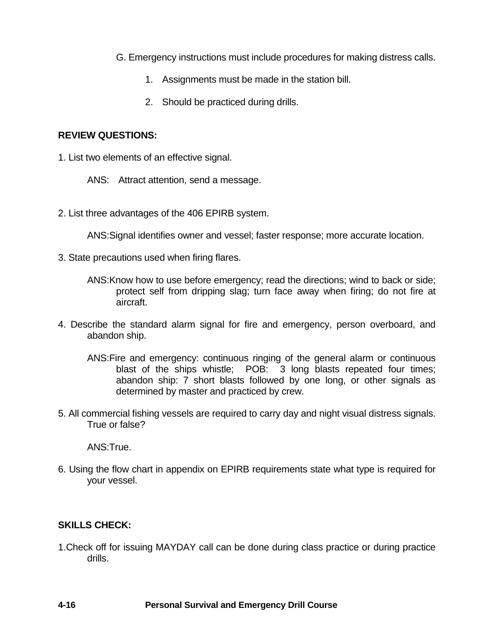- G. Emergency instructions must include procedures for making distress calls.
	- 1. Assignments must be made in the station bill.
	- 2. Should be practiced during drills.

## **REVIEW QUESTIONS:**

1. List two elements of an effective signal.

ANS: Attract attention, send a message.

2. List three advantages of the 406 EPIRB system.

ANS:Signal identifies owner and vessel; faster response; more accurate location.

- 3. State precautions used when firing flares.
	- ANS:Know how to use before emergency; read the directions; wind to back or side; protect self from dripping slag; turn face away when firing; do not fire at aircraft.
- 4. Describe the standard alarm signal for fire and emergency, person overboard, and abandon ship.
	- ANS:Fire and emergency: continuous ringing of the general alarm or continuous blast of the ships whistle; POB: 3 long blasts repeated four times; abandon ship: 7 short blasts followed by one long, or other signals as determined by master and practiced by crew.
- 5. All commercial fishing vessels are required to carry day and night visual distress signals. True or false?

ANS:True.

6. Using the flow chart in appendix on EPIRB requirements state what type is required for your vessel.

## **SKILLS CHECK:**

1.Check off for issuing MAYDAY call can be done during class practice or during practice drills.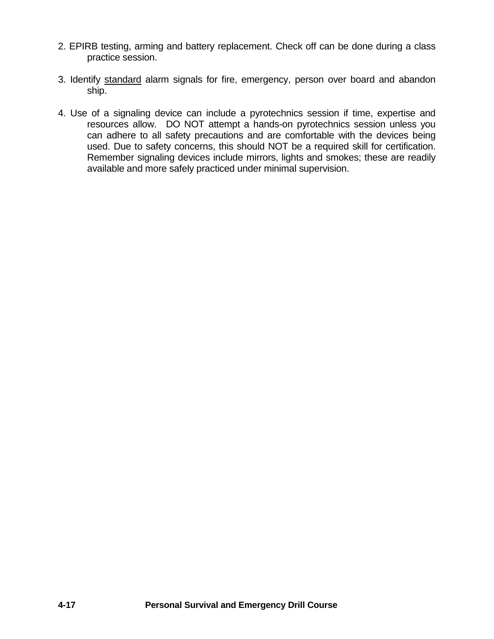- 2. EPIRB testing, arming and battery replacement. Check off can be done during a class practice session.
- 3. Identify standard alarm signals for fire, emergency, person over board and abandon ship.
- 4. Use of a signaling device can include a pyrotechnics session if time, expertise and resources allow. DO NOT attempt a hands-on pyrotechnics session unless you can adhere to all safety precautions and are comfortable with the devices being used. Due to safety concerns, this should NOT be a required skill for certification. Remember signaling devices include mirrors, lights and smokes; these are readily available and more safely practiced under minimal supervision.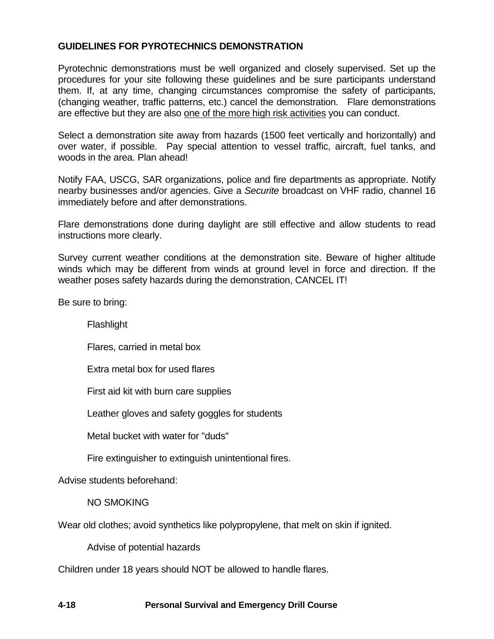## **GUIDELINES FOR PYROTECHNICS DEMONSTRATION**

Pyrotechnic demonstrations must be well organized and closely supervised. Set up the procedures for your site following these guidelines and be sure participants understand them. If, at any time, changing circumstances compromise the safety of participants, (changing weather, traffic patterns, etc.) cancel the demonstration. Flare demonstrations are effective but they are also one of the more high risk activities you can conduct.

Select a demonstration site away from hazards (1500 feet vertically and horizontally) and over water, if possible. Pay special attention to vessel traffic, aircraft, fuel tanks, and woods in the area. Plan ahead!

Notify FAA, USCG, SAR organizations, police and fire departments as appropriate. Notify nearby businesses and/or agencies. Give a *Securite* broadcast on VHF radio, channel 16 immediately before and after demonstrations.

Flare demonstrations done during daylight are still effective and allow students to read instructions more clearly.

Survey current weather conditions at the demonstration site. Beware of higher altitude winds which may be different from winds at ground level in force and direction. If the weather poses safety hazards during the demonstration, CANCEL IT!

Be sure to bring:

**Flashlight** 

Flares, carried in metal box

Extra metal box for used flares

First aid kit with burn care supplies

Leather gloves and safety goggles for students

Metal bucket with water for "duds"

Fire extinguisher to extinguish unintentional fires.

Advise students beforehand:

NO SMOKING

Wear old clothes; avoid synthetics like polypropylene, that melt on skin if ignited.

Advise of potential hazards

Children under 18 years should NOT be allowed to handle flares.